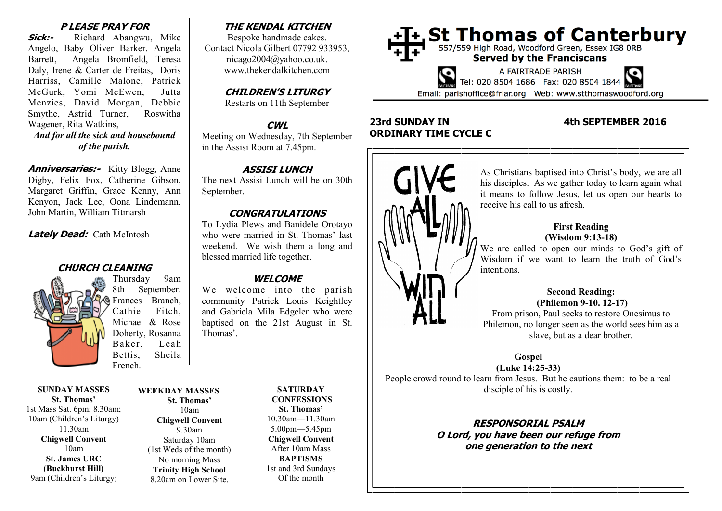### **P LEASE PRAY FOR**

**Sick:-** Richard Abangwu, Mike Angelo, Baby Oliver Barker, Angela Barrett, Angela Bromfield, Teresa Daly, Irene & Carter de Freitas, Doris Harriss, Camille Malone, Patrick McGurk, Yomi McEwen, Jutta Menzies, David Morgan, Debbie Smythe, Astrid Turner, Roswitha Wagener, Rita Watkins, *And for all the sick and housebound of the parish.*

**Anniversaries:** Kitty Blogg, Anne Digby, Felix Fox, Catherine Gibson, Margaret Griffin, Grace Kenny, Ann Kenyon, Jack Lee, Oona Lindemann, John Martin, William Titmarsh

**Lately Dead:** Cath McIntosh

## **CHURCH CLEANING**

Thursday 9am 8th September. Frances Branch, Cathie Fitch, Michael & Rose Doherty, Rosanna Baker, Leah Bettis, Sheila French.

**SUNDAY MASSES St. Thomas'** 1st Mass Sat. 6pm; 8.30am; 10am (Children's Liturgy) 11.30am **Chigwell Convent** 10am **St. James URC (Buckhurst Hill)** 9am (Children's Liturgy)

#### **St. Thomas'** 10am **Chigwell Convent** 9.30am Saturday 10am (1st Weds of the month) No morning Mass **Trinity High School** 8.20am on Lower Site.

# **THE KENDAL KITCHEN**

Bespoke handmade cakes. Contact Nicola Gilbert 07792 933953, nicago2004@yahoo.co.uk. www.thekendalkitchen.com

# **CHILDREN'S LITURGY**

Restarts on 11th September

## **CWL**

Meeting on Wednesday, 7th September in the Assisi Room at 7.45pm.

## **ASSISI LUNCH**

The next Assisi Lunch will be on 30th September.

## **CONGRATULATIONS**

To Lydia Plews and Banidele Orotayo who were married in St. Thomas' last weekend. We wish them a long and blessed married life together.

## **WELCOME**

We welcome into the parish community Patrick Louis Keightley and Gabriela Mila Edgeler who were baptised on the 21st August in St. Thomas'.

**WEEKDAY MASSES**

**SATURDAY CONFESSIONS St. Thomas'** 10.30am—11.30am 5.00pm—5.45pm **Chigwell Convent** After 10am Mass **BAPTISMS** 1st and 3rd Sundays Of the month



# **23rd SUNDAY IN 4th SEPTEMBER 2016 ORDINARY TIME CYCLE C**



As Christians baptised into Christ's body, we are all his disciples. As we gather today to learn again what it means to follow Jesus, let us open our hearts to receive his call to us afresh.

## **First Reading (Wisdom 9:13-18)**

We are called to open our minds to God's gift of Wisdom if we want to learn the truth of God's intentions.

## **Second Reading: (Philemon 9-10. 12-17)**

From prison, Paul seeks to restore Onesimus to Philemon, no longer seen as the world sees him as a slave, but as a dear brother.

**Gospel**

**(Luke 14:25-33)** People crowd round to learn from Jesus. But he cautions them: to be a real disciple of his is costly.

> **RESPONSORIAL PSALM O Lord, you have been our refuge from one generation to the next**